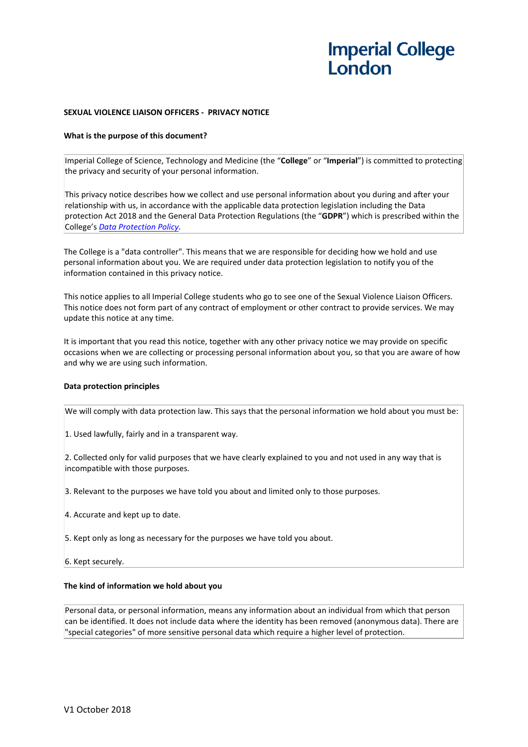## **SEXUAL VIOLENCE LIAISON OFFICERS - PRIVACY NOTICE**

### **What is the purpose of this document?**

Imperial College of Science, Technology and Medicine (the "**College**" or "**Imperial**") is committed to protecting the privacy and security of your personal information.

This privacy notice describes how we collect and use personal information about you during and after your relationship with us, in accordance with the applicable data protection legislation including the Data protection Act 2018 and the General Data Protection Regulations (the "**GDPR**") which is prescribed within the College's *[Data Protection Policy](http://www.imperial.ac.uk/admin-services/legal-services-office/data-protection/our-policy/)*.

The College is a "data controller". This means that we are responsible for deciding how we hold and use personal information about you. We are required under data protection legislation to notify you of the information contained in this privacy notice.

This notice applies to all Imperial College students who go to see one of the Sexual Violence Liaison Officers. This notice does not form part of any contract of employment or other contract to provide services. We may update this notice at any time.

It is important that you read this notice, together with any other privacy notice we may provide on specific occasions when we are collecting or processing personal information about you, so that you are aware of how and why we are using such information.

### **Data protection principles**

We will comply with data protection law. This says that the personal information we hold about you must be:

1. Used lawfully, fairly and in a transparent way.

2. Collected only for valid purposes that we have clearly explained to you and not used in any way that is incompatible with those purposes.

3. Relevant to the purposes we have told you about and limited only to those purposes.

- 4. Accurate and kept up to date.
- 5. Kept only as long as necessary for the purposes we have told you about.
- 6. Kept securely.

### **The kind of information we hold about you**

Personal data, or personal information, means any information about an individual from which that person can be identified. It does not include data where the identity has been removed (anonymous data). There are "special categories" of more sensitive personal data which require a higher level of protection.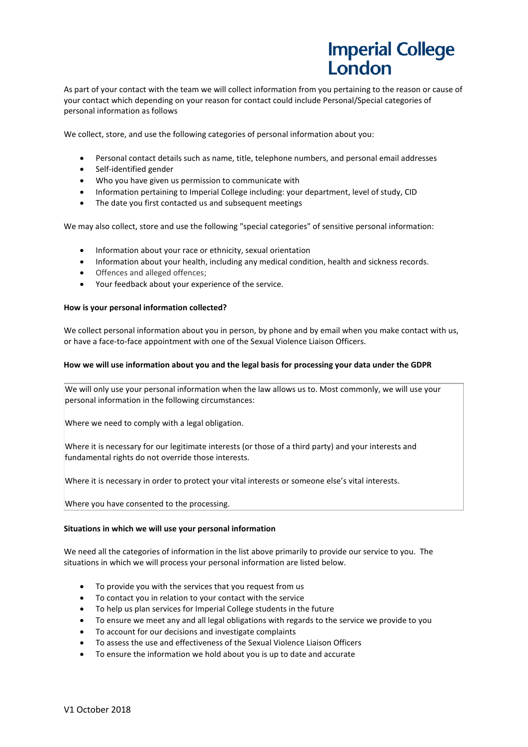As part of your contact with the team we will collect information from you pertaining to the reason or cause of your contact which depending on your reason for contact could include Personal/Special categories of personal information as follows

We collect, store, and use the following categories of personal information about you:

- Personal contact details such as name, title, telephone numbers, and personal email addresses
- Self-identified gender
- Who you have given us permission to communicate with
- Information pertaining to Imperial College including: your department, level of study, CID
- The date you first contacted us and subsequent meetings

We may also collect, store and use the following "special categories" of sensitive personal information:

- Information about your race or ethnicity, sexual orientation
- Information about your health, including any medical condition, health and sickness records.
- Offences and alleged offences;
- Your feedback about your experience of the service.

### **How is your personal information collected?**

We collect personal information about you in person, by phone and by email when you make contact with us, or have a face-to-face appointment with one of the Sexual Violence Liaison Officers.

### **How we will use information about you and the legal basis for processing your data under the GDPR**

We will only use your personal information when the law allows us to. Most commonly, we will use your personal information in the following circumstances:

Where we need to comply with a legal obligation.

Where it is necessary for our legitimate interests (or those of a third party) and your interests and fundamental rights do not override those interests.

Where it is necessary in order to protect your vital interests or someone else's vital interests.

Where you have consented to the processing.

### **Situations in which we will use your personal information**

We need all the categories of information in the list above primarily to provide our service to you. The situations in which we will process your personal information are listed below.

- To provide you with the services that you request from us
- To contact you in relation to your contact with the service
- To help us plan services for Imperial College students in the future
- To ensure we meet any and all legal obligations with regards to the service we provide to you
- To account for our decisions and investigate complaints
- To assess the use and effectiveness of the Sexual Violence Liaison Officers
- To ensure the information we hold about you is up to date and accurate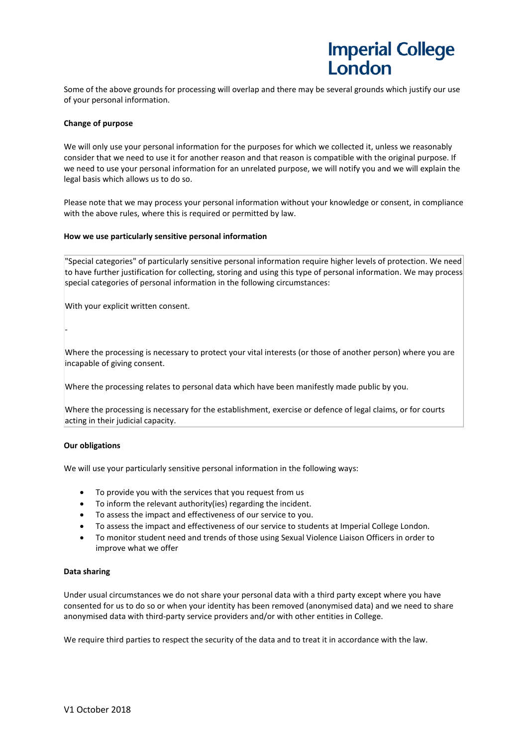Some of the above grounds for processing will overlap and there may be several grounds which justify our use of your personal information.

## **Change of purpose**

We will only use your personal information for the purposes for which we collected it, unless we reasonably consider that we need to use it for another reason and that reason is compatible with the original purpose. If we need to use your personal information for an unrelated purpose, we will notify you and we will explain the legal basis which allows us to do so.

Please note that we may process your personal information without your knowledge or consent, in compliance with the above rules, where this is required or permitted by law.

### **How we use particularly sensitive personal information**

"Special categories" of particularly sensitive personal information require higher levels of protection. We need to have further justification for collecting, storing and using this type of personal information. We may process special categories of personal information in the following circumstances:

With your explicit written consent.

Where the processing is necessary to protect your vital interests (or those of another person) where you are incapable of giving consent.

Where the processing relates to personal data which have been manifestly made public by you.

Where the processing is necessary for the establishment, exercise or defence of legal claims, or for courts acting in their judicial capacity.

## **Our obligations**

-

We will use your particularly sensitive personal information in the following ways:

- To provide you with the services that you request from us
- To inform the relevant authority(ies) regarding the incident.
- To assess the impact and effectiveness of our service to you.
- To assess the impact and effectiveness of our service to students at Imperial College London.
- To monitor student need and trends of those using Sexual Violence Liaison Officers in order to improve what we offer

### **Data sharing**

Under usual circumstances we do not share your personal data with a third party except where you have consented for us to do so or when your identity has been removed (anonymised data) and we need to share anonymised data with third-party service providers and/or with other entities in College.

We require third parties to respect the security of the data and to treat it in accordance with the law.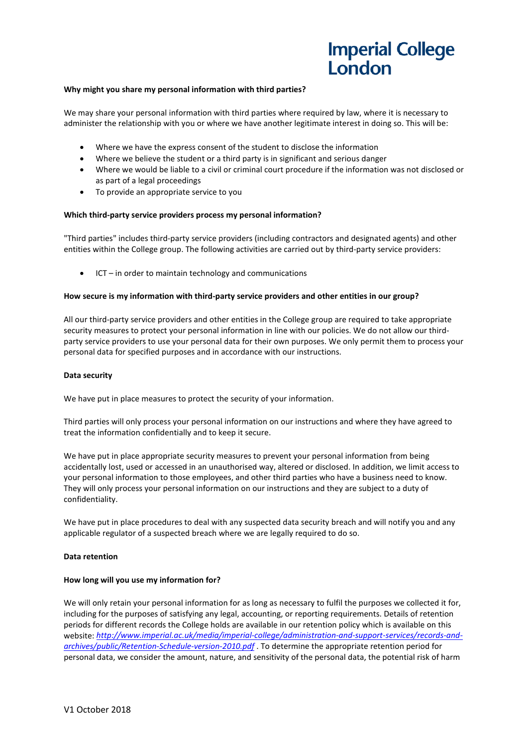### **Why might you share my personal information with third parties?**

We may share your personal information with third parties where required by law, where it is necessary to administer the relationship with you or where we have another legitimate interest in doing so. This will be:

- Where we have the express consent of the student to disclose the information
- Where we believe the student or a third party is in significant and serious danger
- Where we would be liable to a civil or criminal court procedure if the information was not disclosed or as part of a legal proceedings
- To provide an appropriate service to you

### **Which third-party service providers process my personal information?**

"Third parties" includes third-party service providers (including contractors and designated agents) and other entities within the College group. The following activities are carried out by third-party service providers:

• ICT – in order to maintain technology and communications

### **How secure is my information with third-party service providers and other entities in our group?**

All our third-party service providers and other entities in the College group are required to take appropriate security measures to protect your personal information in line with our policies. We do not allow our thirdparty service providers to use your personal data for their own purposes. We only permit them to process your personal data for specified purposes and in accordance with our instructions.

### **Data security**

We have put in place measures to protect the security of your information.

Third parties will only process your personal information on our instructions and where they have agreed to treat the information confidentially and to keep it secure.

We have put in place appropriate security measures to prevent your personal information from being accidentally lost, used or accessed in an unauthorised way, altered or disclosed. In addition, we limit access to your personal information to those employees, and other third parties who have a business need to know. They will only process your personal information on our instructions and they are subject to a duty of confidentiality.

We have put in place procedures to deal with any suspected data security breach and will notify you and any applicable regulator of a suspected breach where we are legally required to do so.

### **Data retention**

### **How long will you use my information for?**

We will only retain your personal information for as long as necessary to fulfil the purposes we collected it for, including for the purposes of satisfying any legal, accounting, or reporting requirements. Details of retention periods for different records the College holds are available in our retention policy which is available on this website: *[http://www.imperial.ac.uk/media/imperial-college/administration-and-support-services/records-and](http://www.imperial.ac.uk/media/imperial-college/administration-and-support-services/records-and-archives/public/Retention-Schedule-version-2010.pdf)[archives/public/Retention-Schedule-version-2010.pdf](http://www.imperial.ac.uk/media/imperial-college/administration-and-support-services/records-and-archives/public/Retention-Schedule-version-2010.pdf)* . To determine the appropriate retention period for personal data, we consider the amount, nature, and sensitivity of the personal data, the potential risk of harm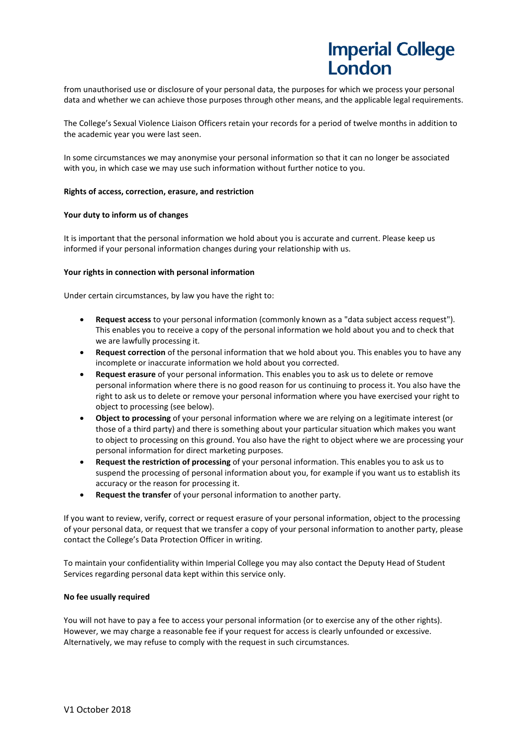from unauthorised use or disclosure of your personal data, the purposes for which we process your personal data and whether we can achieve those purposes through other means, and the applicable legal requirements.

The College's Sexual Violence Liaison Officers retain your records for a period of twelve months in addition to the academic year you were last seen.

In some circumstances we may anonymise your personal information so that it can no longer be associated with you, in which case we may use such information without further notice to you.

## **Rights of access, correction, erasure, and restriction**

## **Your duty to inform us of changes**

It is important that the personal information we hold about you is accurate and current. Please keep us informed if your personal information changes during your relationship with us.

## **Your rights in connection with personal information**

Under certain circumstances, by law you have the right to:

- **Request access** to your personal information (commonly known as a "data subject access request"). This enables you to receive a copy of the personal information we hold about you and to check that we are lawfully processing it.
- **Request correction** of the personal information that we hold about you. This enables you to have any incomplete or inaccurate information we hold about you corrected.
- **Request erasure** of your personal information. This enables you to ask us to delete or remove personal information where there is no good reason for us continuing to process it. You also have the right to ask us to delete or remove your personal information where you have exercised your right to object to processing (see below).
- **Object to processing** of your personal information where we are relying on a legitimate interest (or those of a third party) and there is something about your particular situation which makes you want to object to processing on this ground. You also have the right to object where we are processing your personal information for direct marketing purposes.
- **Request the restriction of processing** of your personal information. This enables you to ask us to suspend the processing of personal information about you, for example if you want us to establish its accuracy or the reason for processing it.
- **Request the transfer** of your personal information to another party.

If you want to review, verify, correct or request erasure of your personal information, object to the processing of your personal data, or request that we transfer a copy of your personal information to another party, please contact the College's Data Protection Officer in writing.

To maintain your confidentiality within Imperial College you may also contact the Deputy Head of Student Services regarding personal data kept within this service only.

### **No fee usually required**

You will not have to pay a fee to access your personal information (or to exercise any of the other rights). However, we may charge a reasonable fee if your request for access is clearly unfounded or excessive. Alternatively, we may refuse to comply with the request in such circumstances.